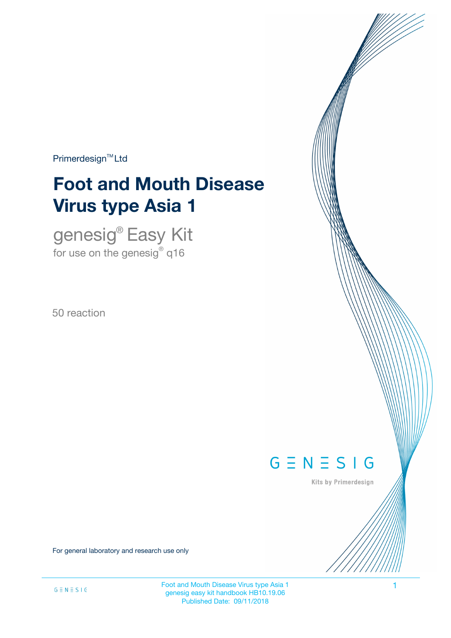$Primerdesign^{\text{TM}}$ Ltd

# **Foot and Mouth Disease Virus type Asia 1**

genesig® Easy Kit for use on the genesig $^\circ$  q16

50 reaction



Kits by Primerdesign

For general laboratory and research use only

Foot and Mouth Disease Virus type Asia 1 1 genesig easy kit handbook HB10.19.06 Published Date: 09/11/2018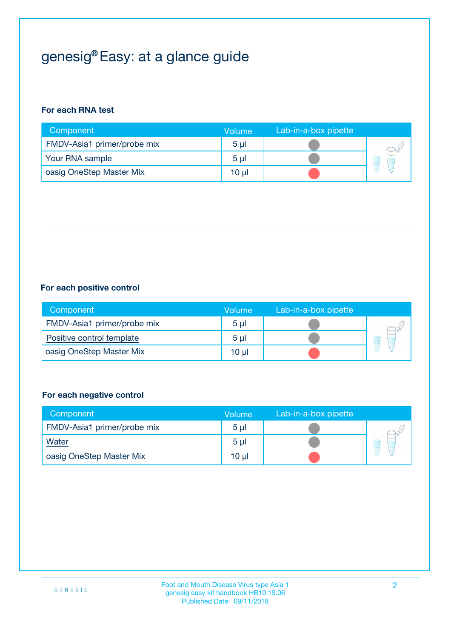## genesig® Easy: at a glance guide

#### **For each RNA test**

| Component                   | <b>Volume</b>  | Lab-in-a-box pipette |  |
|-----------------------------|----------------|----------------------|--|
| FMDV-Asia1 primer/probe mix | 5 <sub>µ</sub> |                      |  |
| Your RNA sample             | 5 <sub>µ</sub> |                      |  |
| oasig OneStep Master Mix    | 10 µl          |                      |  |

#### **For each positive control**

| Component                   | Volume         | Lab-in-a-box pipette |  |
|-----------------------------|----------------|----------------------|--|
| FMDV-Asia1 primer/probe mix | 5 <sub>µ</sub> |                      |  |
| Positive control template   | 5 <sub>µ</sub> |                      |  |
| oasig OneStep Master Mix    | 10 µl          |                      |  |

#### **For each negative control**

| Component                   | <b>Volume</b>  | Lab-in-a-box pipette |   |
|-----------------------------|----------------|----------------------|---|
| FMDV-Asia1 primer/probe mix | 5 <sub>µ</sub> |                      |   |
| <b>Water</b>                | 5 <sub>µ</sub> |                      | E |
| oasig OneStep Master Mix    | $10 \mu$       |                      |   |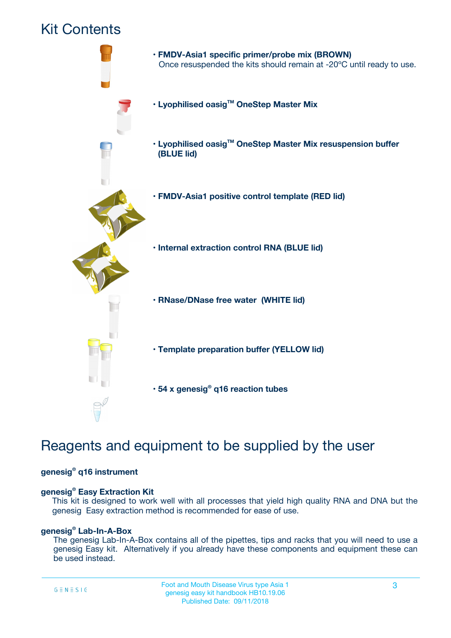### Kit Contents



## Reagents and equipment to be supplied by the user

#### **genesig® q16 instrument**

#### **genesig® Easy Extraction Kit**

This kit is designed to work well with all processes that yield high quality RNA and DNA but the genesig Easy extraction method is recommended for ease of use.

#### **genesig® Lab-In-A-Box**

The genesig Lab-In-A-Box contains all of the pipettes, tips and racks that you will need to use a genesig Easy kit. Alternatively if you already have these components and equipment these can be used instead.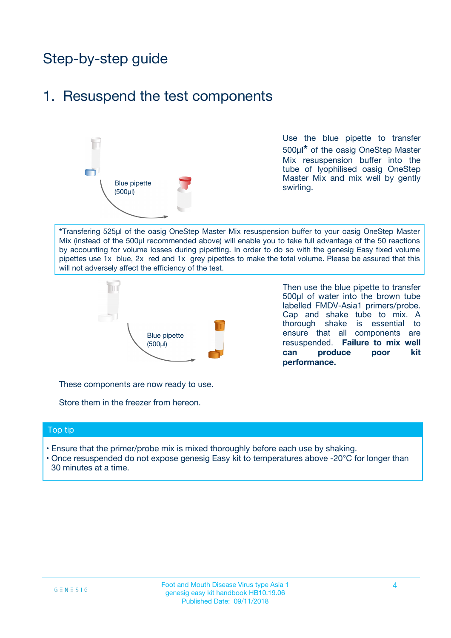## Step-by-step guide

### 1. Resuspend the test components



Use the blue pipette to transfer 500µ**l\*** of the oasig OneStep Master Mix resuspension buffer into the tube of lyophilised oasig OneStep Master Mix and mix well by gently swirling.

**\***Transfering 525µl of the oasig OneStep Master Mix resuspension buffer to your oasig OneStep Master Mix (instead of the 500µl recommended above) will enable you to take full advantage of the 50 reactions by accounting for volume losses during pipetting. In order to do so with the genesig Easy fixed volume pipettes use 1x blue, 2x red and 1x grey pipettes to make the total volume. Please be assured that this will not adversely affect the efficiency of the test.



Then use the blue pipette to transfer 500µl of water into the brown tube labelled FMDV-Asia1 primers/probe. Cap and shake tube to mix. A thorough shake is essential to ensure that all components are resuspended. **Failure to mix well can produce poor kit performance.**

These components are now ready to use.

Store them in the freezer from hereon.

#### Top tip

- Ensure that the primer/probe mix is mixed thoroughly before each use by shaking.
- Once resuspended do not expose genesig Easy kit to temperatures above -20°C for longer than 30 minutes at a time.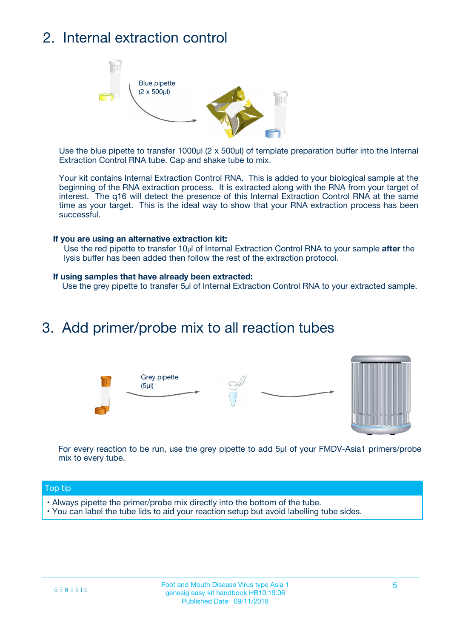## 2. Internal extraction control



Use the blue pipette to transfer 1000µl (2 x 500µl) of template preparation buffer into the Internal Extraction Control RNA tube. Cap and shake tube to mix.

Your kit contains Internal Extraction Control RNA. This is added to your biological sample at the beginning of the RNA extraction process. It is extracted along with the RNA from your target of interest. The q16 will detect the presence of this Internal Extraction Control RNA at the same time as your target. This is the ideal way to show that your RNA extraction process has been successful.

#### **If you are using an alternative extraction kit:**

Use the red pipette to transfer 10µl of Internal Extraction Control RNA to your sample **after** the lysis buffer has been added then follow the rest of the extraction protocol.

#### **If using samples that have already been extracted:**

Use the grey pipette to transfer 5µl of Internal Extraction Control RNA to your extracted sample.

### 3. Add primer/probe mix to all reaction tubes





For every reaction to be run, use the grey pipette to add 5µl of your FMDV-Asia1 primers/probe mix to every tube.

#### Top tip

- Always pipette the primer/probe mix directly into the bottom of the tube.
- You can label the tube lids to aid your reaction setup but avoid labelling tube sides.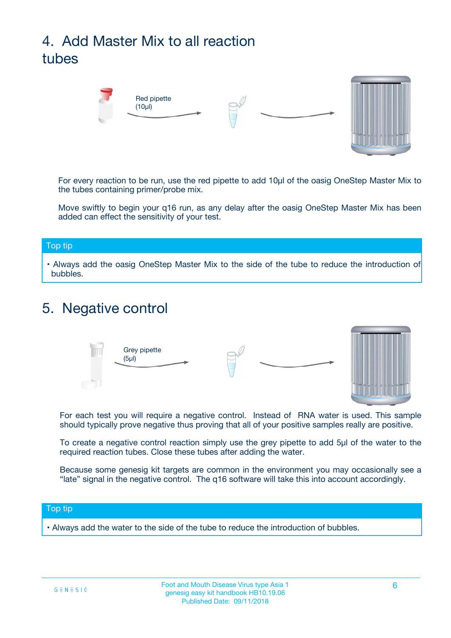## 4. Add Master Mix to all reaction tubes



For every reaction to be run, use the red pipette to add 10µl of the oasig OneStep Master Mix to the tubes containing primer/probe mix.

Move swiftly to begin your q16 run, as any delay after the oasig OneStep Master Mix has been added can effect the sensitivity of your test.

#### Top tip

**•** Always add the oasig OneStep Master Mix to the side of the tube to reduce the introduction of bubbles.

### 5. Negative control



For each test you will require a negative control. Instead of RNA water is used. This sample should typically prove negative thus proving that all of your positive samples really are positive.

To create a negative control reaction simply use the grey pipette to add 5µl of the water to the required reaction tubes. Close these tubes after adding the water.

Because some genesig kit targets are common in the environment you may occasionally see a "late" signal in the negative control. The q16 software will take this into account accordingly.

#### Top tip

**•** Always add the water to the side of the tube to reduce the introduction of bubbles.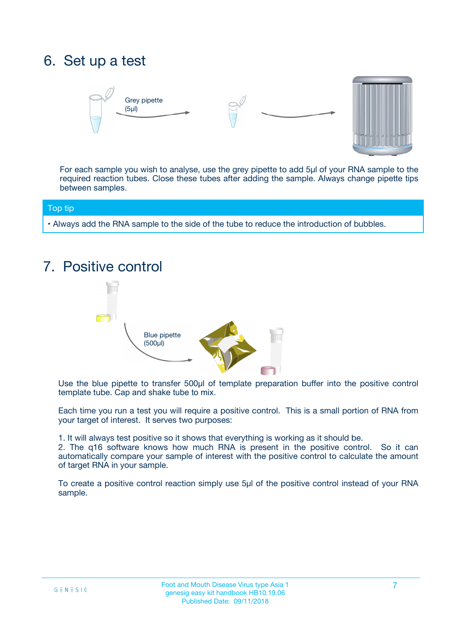## 6. Set up a test





For each sample you wish to analyse, use the grey pipette to add 5µl of your RNA sample to the required reaction tubes. Close these tubes after adding the sample. Always change pipette tips between samples.

#### Top tip

**•** Always add the RNA sample to the side of the tube to reduce the introduction of bubbles.

## 7. Positive control



Use the blue pipette to transfer 500µl of template preparation buffer into the positive control template tube. Cap and shake tube to mix.

Each time you run a test you will require a positive control. This is a small portion of RNA from your target of interest. It serves two purposes:

1. It will always test positive so it shows that everything is working as it should be.

2. The q16 software knows how much RNA is present in the positive control. So it can automatically compare your sample of interest with the positive control to calculate the amount of target RNA in your sample.

To create a positive control reaction simply use 5µl of the positive control instead of your RNA sample.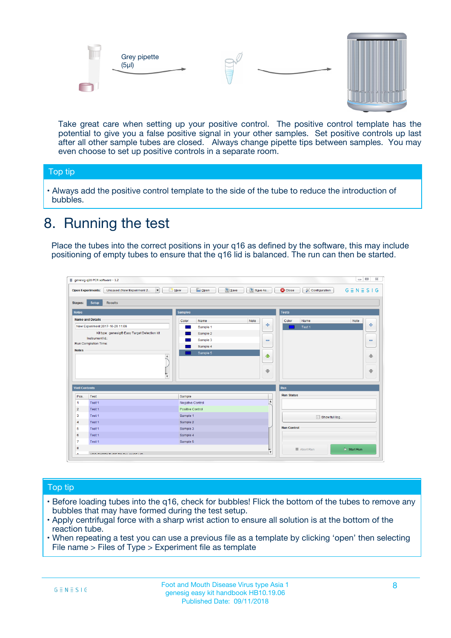



Take great care when setting up your positive control. The positive control template has the potential to give you a false positive signal in your other samples. Set positive controls up last after all other sample tubes are closed. Always change pipette tips between samples. You may even choose to set up positive controls in a separate room.

#### Top tip

**•** Always add the positive control template to the side of the tube to reduce the introduction of bubbles.

## 8. Running the test

Place the tubes into the correct positions in your q16 as defined by the software, this may include positioning of empty tubes to ensure that the q16 lid is balanced. The run can then be started.

|                                                | Unsaved (New Experiment 2<br><b>Open Experiments:</b><br>$\overline{\phantom{a}}$ | <b>E</b> Open<br>Save<br>$\Box$ New | Save As          | <b>C</b> Close<br>Configuration | $G \equiv N \equiv S \mid G$ |
|------------------------------------------------|-----------------------------------------------------------------------------------|-------------------------------------|------------------|---------------------------------|------------------------------|
| <b>Stages:</b>                                 | Setup<br><b>Results</b>                                                           |                                     |                  |                                 |                              |
| <b>Notes</b>                                   |                                                                                   | <b>Samples</b>                      |                  | <b>Tests</b>                    |                              |
|                                                | <b>Name and Details</b>                                                           | Color<br>Name                       | Note             | Color<br>Name                   | Note                         |
|                                                | New Experiment 2017-10-26 11:06                                                   | Sample 1                            | 4                | Test 1                          | 4                            |
|                                                | Kit type: genesig® Easy Target Detection kit                                      | Sample 2                            |                  |                                 |                              |
|                                                | Instrument Id.:                                                                   | Sample 3                            | $\equiv$         |                                 | $\equiv$                     |
|                                                | <b>Run Completion Time:</b>                                                       | Sample 4                            |                  |                                 |                              |
| <b>Notes</b>                                   | $\blacktriangle$                                                                  | Sample 5                            | ♦                |                                 | 傦                            |
|                                                |                                                                                   |                                     |                  |                                 |                              |
|                                                | $\overline{\mathbf{v}}$                                                           |                                     | ÷                |                                 |                              |
| <b>Well Contents</b>                           |                                                                                   |                                     |                  | Run                             | ⊕                            |
|                                                | Test                                                                              | Sample                              |                  | <b>Run Status</b>               |                              |
|                                                | Test 1                                                                            | Negative Control                    | $\blacktriangle$ |                                 |                              |
| Pos.<br>$\blacktriangleleft$<br>$\overline{2}$ | Test 1                                                                            | Positive Control                    |                  |                                 |                              |
| 3                                              | Test 1                                                                            | Sample 1                            |                  |                                 |                              |
|                                                | Test 1                                                                            | Sample 2                            |                  | Show full log                   |                              |
| $\overline{4}$<br>5                            | Test 1                                                                            | Sample 3                            |                  | <b>Run Control</b>              |                              |
|                                                | Test 1                                                                            | Sample 4                            |                  |                                 |                              |
| 6<br>$\overline{7}$                            | Test 1                                                                            | Sample 5                            |                  |                                 |                              |

#### Top tip

- Before loading tubes into the q16, check for bubbles! Flick the bottom of the tubes to remove any bubbles that may have formed during the test setup.
- Apply centrifugal force with a sharp wrist action to ensure all solution is at the bottom of the reaction tube.
- When repeating a test you can use a previous file as a template by clicking 'open' then selecting File name > Files of Type > Experiment file as template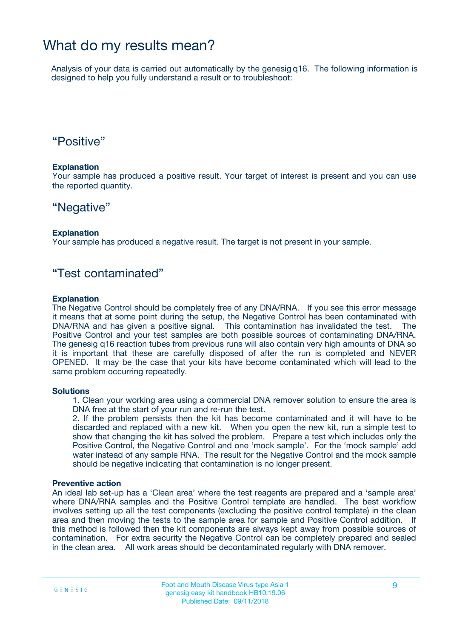### What do my results mean?

Analysis of your data is carried out automatically by the genesig q16. The following information is designed to help you fully understand a result or to troubleshoot:

### "Positive"

#### **Explanation**

Your sample has produced a positive result. Your target of interest is present and you can use the reported quantity.

### "Negative"

#### **Explanation**

Your sample has produced a negative result. The target is not present in your sample.

### "Test contaminated"

#### **Explanation**

The Negative Control should be completely free of any DNA/RNA. If you see this error message it means that at some point during the setup, the Negative Control has been contaminated with DNA/RNA and has given a positive signal. This contamination has invalidated the test. The Positive Control and your test samples are both possible sources of contaminating DNA/RNA. The genesig q16 reaction tubes from previous runs will also contain very high amounts of DNA so it is important that these are carefully disposed of after the run is completed and NEVER OPENED. It may be the case that your kits have become contaminated which will lead to the same problem occurring repeatedly.

#### **Solutions**

1. Clean your working area using a commercial DNA remover solution to ensure the area is DNA free at the start of your run and re-run the test.

2. If the problem persists then the kit has become contaminated and it will have to be discarded and replaced with a new kit. When you open the new kit, run a simple test to show that changing the kit has solved the problem. Prepare a test which includes only the Positive Control, the Negative Control and one 'mock sample'. For the 'mock sample' add water instead of any sample RNA. The result for the Negative Control and the mock sample should be negative indicating that contamination is no longer present.

#### **Preventive action**

An ideal lab set-up has a 'Clean area' where the test reagents are prepared and a 'sample area' where DNA/RNA samples and the Positive Control template are handled. The best workflow involves setting up all the test components (excluding the positive control template) in the clean area and then moving the tests to the sample area for sample and Positive Control addition. If this method is followed then the kit components are always kept away from possible sources of contamination. For extra security the Negative Control can be completely prepared and sealed in the clean area. All work areas should be decontaminated regularly with DNA remover.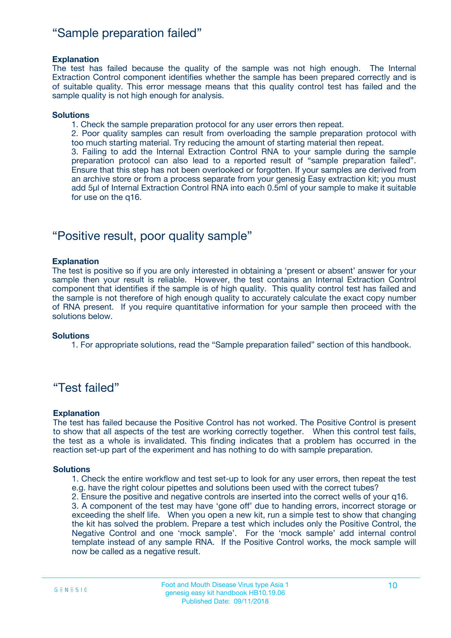### "Sample preparation failed"

#### **Explanation**

The test has failed because the quality of the sample was not high enough. The Internal Extraction Control component identifies whether the sample has been prepared correctly and is of suitable quality. This error message means that this quality control test has failed and the sample quality is not high enough for analysis.

#### **Solutions**

1. Check the sample preparation protocol for any user errors then repeat.

2. Poor quality samples can result from overloading the sample preparation protocol with too much starting material. Try reducing the amount of starting material then repeat.

3. Failing to add the Internal Extraction Control RNA to your sample during the sample preparation protocol can also lead to a reported result of "sample preparation failed". Ensure that this step has not been overlooked or forgotten. If your samples are derived from an archive store or from a process separate from your genesig Easy extraction kit; you must add 5µl of Internal Extraction Control RNA into each 0.5ml of your sample to make it suitable for use on the q16.

### "Positive result, poor quality sample"

#### **Explanation**

The test is positive so if you are only interested in obtaining a 'present or absent' answer for your sample then your result is reliable. However, the test contains an Internal Extraction Control component that identifies if the sample is of high quality. This quality control test has failed and the sample is not therefore of high enough quality to accurately calculate the exact copy number of RNA present. If you require quantitative information for your sample then proceed with the solutions below.

#### **Solutions**

1. For appropriate solutions, read the "Sample preparation failed" section of this handbook.

### "Test failed"

#### **Explanation**

The test has failed because the Positive Control has not worked. The Positive Control is present to show that all aspects of the test are working correctly together. When this control test fails, the test as a whole is invalidated. This finding indicates that a problem has occurred in the reaction set-up part of the experiment and has nothing to do with sample preparation.

#### **Solutions**

1. Check the entire workflow and test set-up to look for any user errors, then repeat the test e.g. have the right colour pipettes and solutions been used with the correct tubes?

2. Ensure the positive and negative controls are inserted into the correct wells of your q16.

3. A component of the test may have 'gone off' due to handing errors, incorrect storage or exceeding the shelf life. When you open a new kit, run a simple test to show that changing the kit has solved the problem. Prepare a test which includes only the Positive Control, the Negative Control and one 'mock sample'. For the 'mock sample' add internal control template instead of any sample RNA. If the Positive Control works, the mock sample will now be called as a negative result.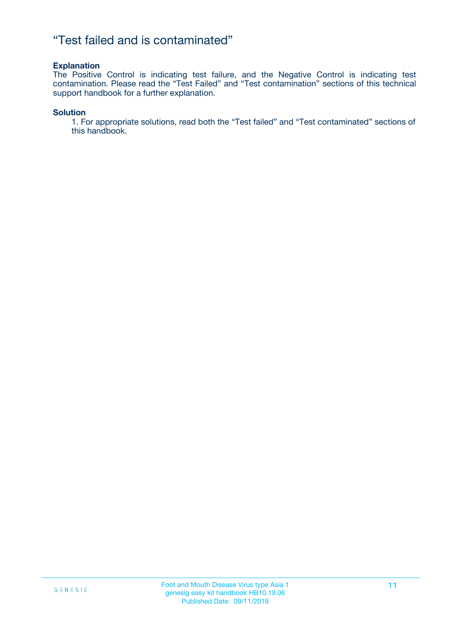### "Test failed and is contaminated"

#### **Explanation**

The Positive Control is indicating test failure, and the Negative Control is indicating test contamination. Please read the "Test Failed" and "Test contamination" sections of this technical support handbook for a further explanation.

#### **Solution**

1. For appropriate solutions, read both the "Test failed" and "Test contaminated" sections of this handbook.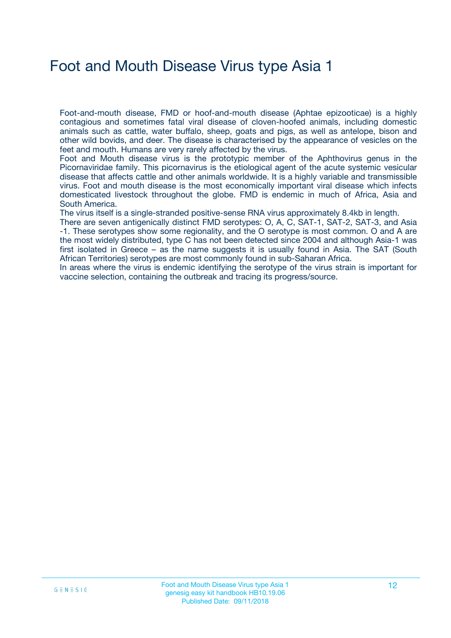## Foot and Mouth Disease Virus type Asia 1

Foot-and-mouth disease, FMD or hoof-and-mouth disease (Aphtae epizooticae) is a highly contagious and sometimes fatal viral disease of cloven-hoofed animals, including domestic animals such as cattle, water buffalo, sheep, goats and pigs, as well as antelope, bison and other wild bovids, and deer. The disease is characterised by the appearance of vesicles on the feet and mouth. Humans are very rarely affected by the virus.

Foot and Mouth disease virus is the prototypic member of the Aphthovirus genus in the Picornaviridae family. This picornavirus is the etiological agent of the acute systemic vesicular disease that affects cattle and other animals worldwide. It is a highly variable and transmissible virus. Foot and mouth disease is the most economically important viral disease which infects domesticated livestock throughout the globe. FMD is endemic in much of Africa, Asia and South America.

The virus itself is a single-stranded positive-sense RNA virus approximately 8.4kb in length.

There are seven antigenically distinct FMD serotypes: O, A, C, SAT-1, SAT-2, SAT-3, and Asia -1. These serotypes show some regionality, and the O serotype is most common. O and A are the most widely distributed, type C has not been detected since 2004 and although Asia-1 was first isolated in Greece – as the name suggests it is usually found in Asia. The SAT (South African Territories) serotypes are most commonly found in sub-Saharan Africa.

In areas where the virus is endemic identifying the serotype of the virus strain is important for vaccine selection, containing the outbreak and tracing its progress/source.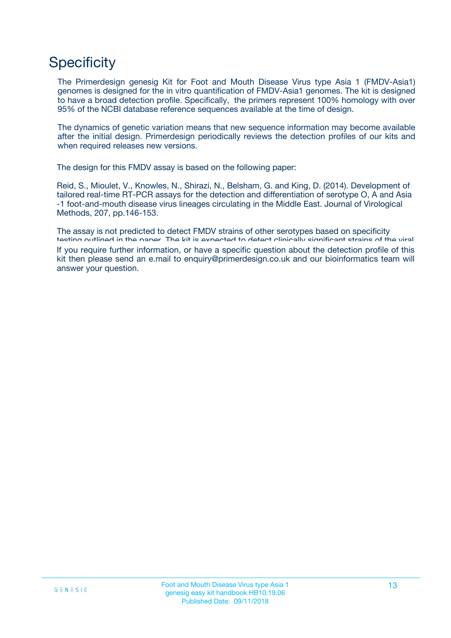## **Specificity**

The Primerdesign genesig Kit for Foot and Mouth Disease Virus type Asia 1 (FMDV-Asia1) genomes is designed for the in vitro quantification of FMDV-Asia1 genomes. The kit is designed to have a broad detection profile. Specifically, the primers represent 100% homology with over 95% of the NCBI database reference sequences available at the time of design.

The dynamics of genetic variation means that new sequence information may become available after the initial design. Primerdesign periodically reviews the detection profiles of our kits and when required releases new versions.

The design for this FMDV assay is based on the following paper:

Reid, S., Mioulet, V., Knowles, N., Shirazi, N., Belsham, G. and King, D. (2014). Development of tailored real-time RT-PCR assays for the detection and differentiation of serotype O, A and Asia -1 foot-and-mouth disease virus lineages circulating in the Middle East. Journal of Virological Methods, 207, pp.146-153.

The assay is not predicted to detect FMDV strains of other serotypes based on specificity testing outlined in the paper. The kit is expected to detect clinically significant strains of the viral If you require further information, or have a specific question about the detection profile of this kit then please send an e.mail to enquiry@primerdesign.co.uk and our bioinformatics team will answer your question.